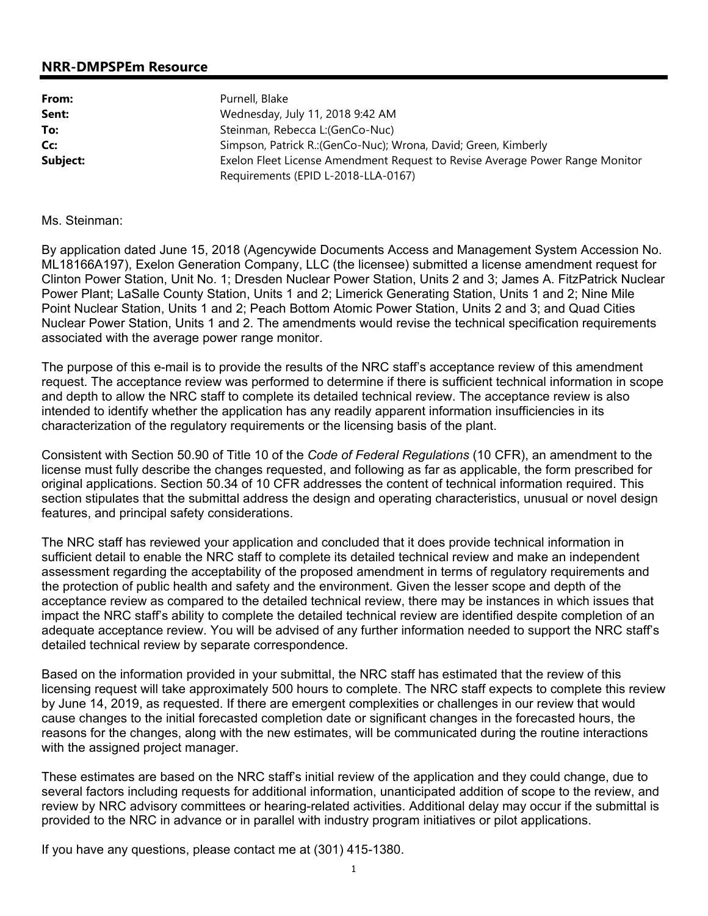## **NRR-DMPSPEm Resource**

| From:    | Purnell, Blake                                                               |  |
|----------|------------------------------------------------------------------------------|--|
| Sent:    | Wednesday, July 11, 2018 9:42 AM                                             |  |
| To:      | Steinman, Rebecca L: (GenCo-Nuc)                                             |  |
| Cc:      | Simpson, Patrick R.: (GenCo-Nuc); Wrona, David; Green, Kimberly              |  |
| Subject: | Exelon Fleet License Amendment Request to Revise Average Power Range Monitor |  |
|          | Requirements (EPID L-2018-LLA-0167)                                          |  |

## Ms. Steinman:

By application dated June 15, 2018 (Agencywide Documents Access and Management System Accession No. ML18166A197), Exelon Generation Company, LLC (the licensee) submitted a license amendment request for Clinton Power Station, Unit No. 1; Dresden Nuclear Power Station, Units 2 and 3; James A. FitzPatrick Nuclear Power Plant; LaSalle County Station, Units 1 and 2; Limerick Generating Station, Units 1 and 2; Nine Mile Point Nuclear Station, Units 1 and 2; Peach Bottom Atomic Power Station, Units 2 and 3; and Quad Cities Nuclear Power Station, Units 1 and 2. The amendments would revise the technical specification requirements associated with the average power range monitor.

The purpose of this e-mail is to provide the results of the NRC staff's acceptance review of this amendment request. The acceptance review was performed to determine if there is sufficient technical information in scope and depth to allow the NRC staff to complete its detailed technical review. The acceptance review is also intended to identify whether the application has any readily apparent information insufficiencies in its characterization of the regulatory requirements or the licensing basis of the plant.

Consistent with Section 50.90 of Title 10 of the *Code of Federal Regulations* (10 CFR), an amendment to the license must fully describe the changes requested, and following as far as applicable, the form prescribed for original applications. Section 50.34 of 10 CFR addresses the content of technical information required. This section stipulates that the submittal address the design and operating characteristics, unusual or novel design features, and principal safety considerations.

The NRC staff has reviewed your application and concluded that it does provide technical information in sufficient detail to enable the NRC staff to complete its detailed technical review and make an independent assessment regarding the acceptability of the proposed amendment in terms of regulatory requirements and the protection of public health and safety and the environment. Given the lesser scope and depth of the acceptance review as compared to the detailed technical review, there may be instances in which issues that impact the NRC staff's ability to complete the detailed technical review are identified despite completion of an adequate acceptance review. You will be advised of any further information needed to support the NRC staff's detailed technical review by separate correspondence.

Based on the information provided in your submittal, the NRC staff has estimated that the review of this licensing request will take approximately 500 hours to complete. The NRC staff expects to complete this review by June 14, 2019, as requested. If there are emergent complexities or challenges in our review that would cause changes to the initial forecasted completion date or significant changes in the forecasted hours, the reasons for the changes, along with the new estimates, will be communicated during the routine interactions with the assigned project manager.

These estimates are based on the NRC staff's initial review of the application and they could change, due to several factors including requests for additional information, unanticipated addition of scope to the review, and review by NRC advisory committees or hearing-related activities. Additional delay may occur if the submittal is provided to the NRC in advance or in parallel with industry program initiatives or pilot applications.

If you have any questions, please contact me at (301) 415-1380.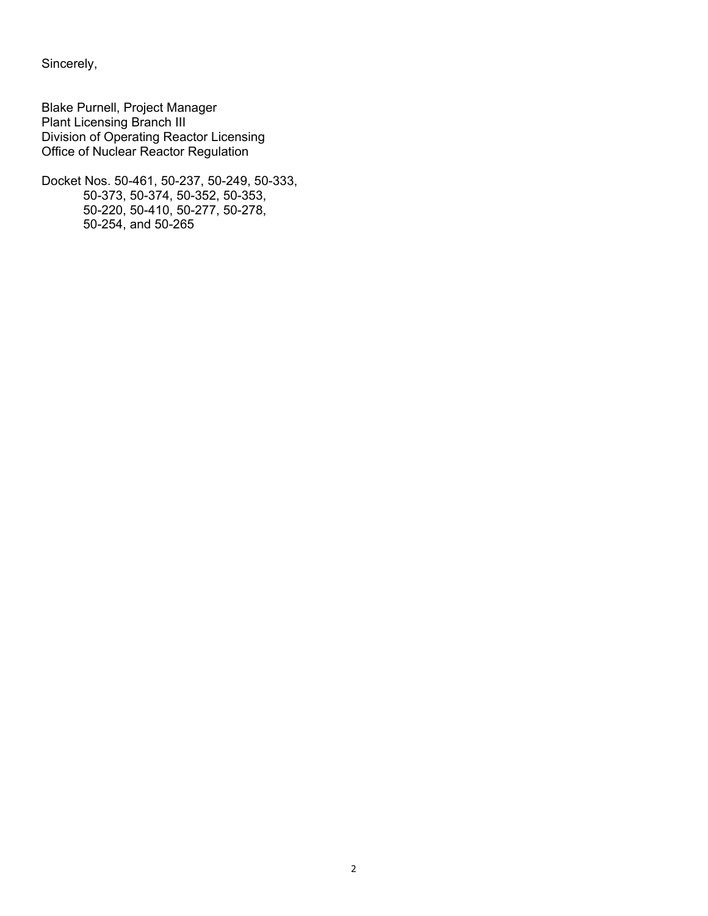Sincerely,

Blake Purnell, Project Manager Plant Licensing Branch III Division of Operating Reactor Licensing Office of Nuclear Reactor Regulation

Docket Nos. 50-461, 50-237, 50-249, 50-333, 50-373, 50-374, 50-352, 50-353, 50-220, 50-410, 50-277, 50-278, 50-254, and 50-265